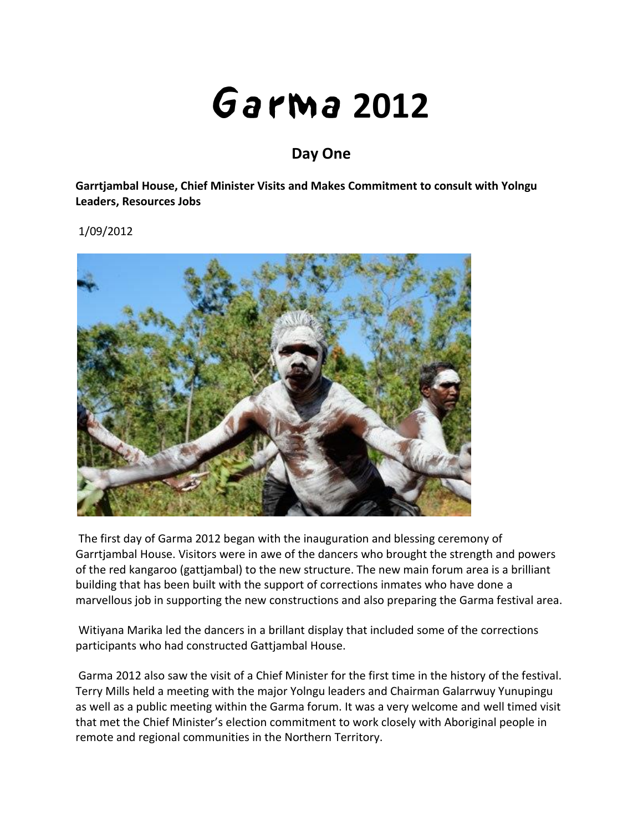## **2012**

## **Day One**

**Garrtjambal House, Chief Minister Visits and Makes Commitment to consult with Yolngu Leaders, Resources Jobs**

1/09/2012



The first day of Garma 2012 began with the inauguration and blessing ceremony of Garrtjambal House. Visitors were in awe of the dancers who brought the strength and powers of the red kangaroo (gattjambal) to the new structure. The new main forum area is a brilliant building that has been built with the support of corrections inmates who have done a marvellous job in supporting the new constructions and also preparing the Garma festival area.

Witiyana Marika led the dancers in a brillant display that included some of the corrections participants who had constructed Gattjambal House.

Garma 2012 also saw the visit of a Chief Minister for the first time in the history of the festival. Terry Mills held a meeting with the major Yolngu leaders and Chairman Galarrwuy Yunupingu as well as a public meeting within the Garma forum. It was a very welcome and well timed visit that met the Chief Minister's election commitment to work closely with Aboriginal people in remote and regional communities in the Northern Territory.